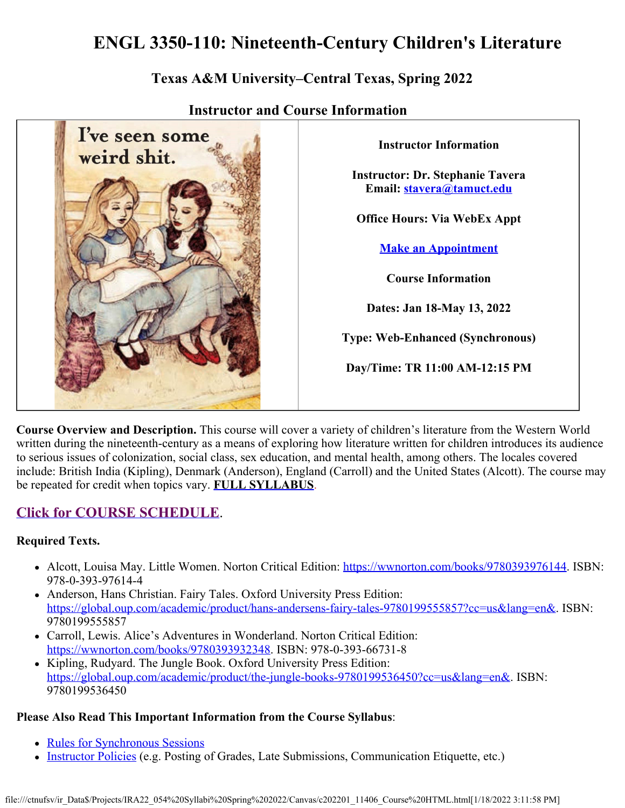# **ENGL 3350-110: Nineteenth-Century Children's Literature**

## **Texas A&M University–Central Texas, Spring 2022**



### **Instructor and Course Information**

**Instructor Information Instructor: Dr. Stephanie Tavera Email: [stavera@tamuct.edu](mailto:stavera@tamuct.edu) Office Hours: Via WebEx Appt [Make an Appointment](https://dr-tavera-office-hours.appointlet.com/b/stephanie-tavera) Course Information Dates: Jan 18-May 13, 2022 Type: Web-Enhanced (Synchronous) Day/Time: TR 11:00 AM-12:15 PM**

**Course Overview and Description.** This course will cover a variety of children's literature from the Western World written during the nineteenth-century as a means of exploring how literature written for children introduces its audience to serious issues of colonization, social class, sex education, and mental health, among others. The locales covered include: British India (Kipling), Denmark (Anderson), England (Carroll) and the United States (Alcott). The course may be repeated for credit when topics vary. **[FULL SYLLABUS](https://tamuct.instructure.com/courses/9461/files/1204641?verifier=5yPNWYvgoDPNa8HJ8IIWV1S0QrXcWbhPq3fCA2cf&wrap=1)**.

## **[Click for COURSE SCHEDULE](https://tamuct.instructure.com/courses/9461/pages/course-schedule)**.

#### **Required Texts.**

- Alcott, Louisa May. Little Women. Norton Critical Edition:<https://wwnorton.com/books/9780393976144>. ISBN: 978-0-393-97614-4
- Anderson, Hans Christian. Fairy Tales. Oxford University Press Edition: <https://global.oup.com/academic/product/hans-andersens-fairy-tales-9780199555857?cc=us&lang=en&>. ISBN: 9780199555857
- Carroll, Lewis. Alice's Adventures in Wonderland. Norton Critical Edition: <https://wwnorton.com/books/9780393932348>. ISBN: 978-0-393-66731-8
- Kipling, Rudyard. The Jungle Book. Oxford University Press Edition: <https://global.oup.com/academic/product/the-jungle-books-9780199536450?cc=us&lang=en&>. ISBN: 9780199536450

#### **Please Also Read This Important Information from the Course Syllabus**:

- [Rules for Synchronous Sessions](https://tamuct.instructure.com/courses/9461/pages/rules-for-synchronous-sessions)
- [Instructor Policies](https://tamuct.instructure.com/courses/9461/pages/instructor-policies) (e.g. Posting of Grades, Late Submissions, Communication Etiquette, etc.)